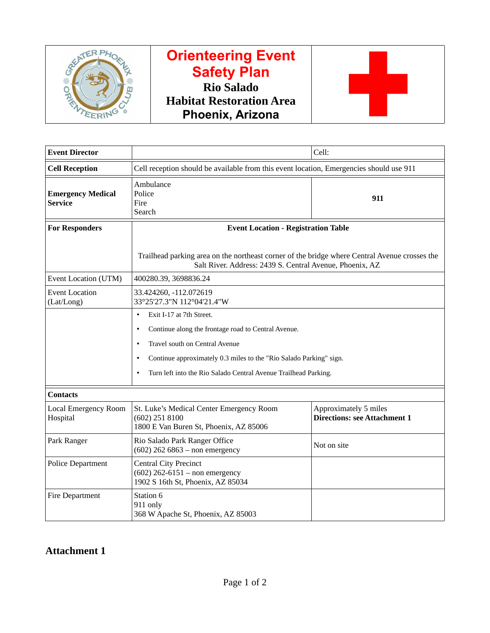

# **Orienteering Event Safety Plan Rio Salado Habitat Restoration Area Phoenix, Arizona**



| <b>Event Director</b>                      |                                                                                                                                                           | Cell:                                                        |  |  |  |
|--------------------------------------------|-----------------------------------------------------------------------------------------------------------------------------------------------------------|--------------------------------------------------------------|--|--|--|
| <b>Cell Reception</b>                      | Cell reception should be available from this event location, Emergencies should use 911                                                                   |                                                              |  |  |  |
| <b>Emergency Medical</b><br><b>Service</b> | Ambulance<br>Police<br>Fire<br>Search                                                                                                                     | 911                                                          |  |  |  |
| <b>For Responders</b>                      | <b>Event Location - Registration Table</b>                                                                                                                |                                                              |  |  |  |
|                                            | Trailhead parking area on the northeast corner of the bridge where Central Avenue crosses the<br>Salt River. Address: 2439 S. Central Avenue, Phoenix, AZ |                                                              |  |  |  |
| Event Location (UTM)                       | 400280.39, 3698836.24                                                                                                                                     |                                                              |  |  |  |
| <b>Event Location</b><br>(Lat/Long)        | 33.424260, -112.072619<br>33°25'27.3"N 112°04'21.4"W                                                                                                      |                                                              |  |  |  |
|                                            | Exit I-17 at 7th Street.<br>$\bullet$                                                                                                                     |                                                              |  |  |  |
|                                            | Continue along the frontage road to Central Avenue.<br>$\bullet$                                                                                          |                                                              |  |  |  |
|                                            | Travel south on Central Avenue<br>$\bullet$                                                                                                               |                                                              |  |  |  |
|                                            | Continue approximately 0.3 miles to the "Rio Salado Parking" sign.<br>$\bullet$                                                                           |                                                              |  |  |  |
|                                            | Turn left into the Rio Salado Central Avenue Trailhead Parking.<br>$\bullet$                                                                              |                                                              |  |  |  |
| <b>Contacts</b>                            |                                                                                                                                                           |                                                              |  |  |  |
| Local Emergency Room<br>Hospital           | St. Luke's Medical Center Emergency Room<br>(602) 251 8100<br>1800 E Van Buren St, Phoenix, AZ 85006                                                      | Approximately 5 miles<br><b>Directions: see Attachment 1</b> |  |  |  |
| Park Ranger                                | Rio Salado Park Ranger Office<br>$(602)$ 262 6863 - non emergency                                                                                         | Not on site                                                  |  |  |  |
| <b>Police Department</b>                   | <b>Central City Precinct</b><br>$(602)$ 262-6151 – non emergency<br>1902 S 16th St, Phoenix, AZ 85034                                                     |                                                              |  |  |  |
| Fire Department                            | Station 6<br>911 only<br>368 W Apache St, Phoenix, AZ 85003                                                                                               |                                                              |  |  |  |

**Attachment 1**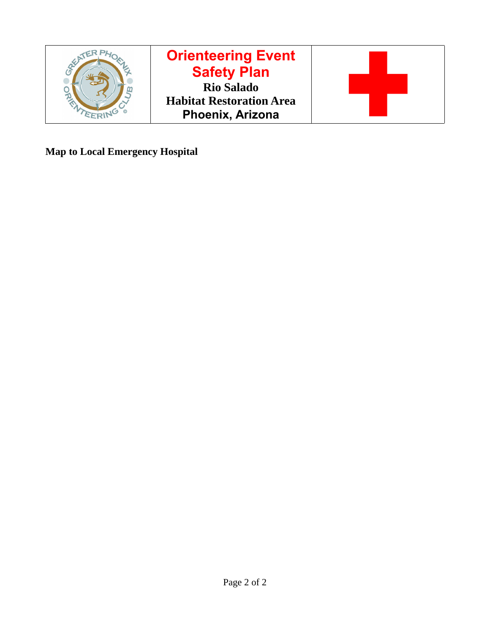

**Map to Local Emergency Hospital**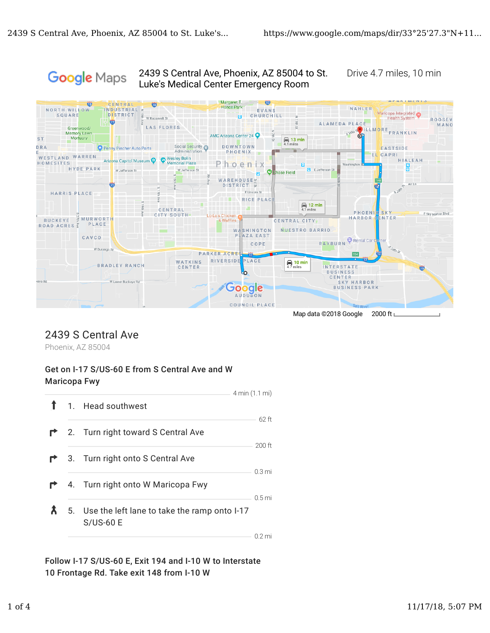#### 2439 S Central Ave, Phoenix, AZ 85004 to St. Drive 4.7 miles, 10 min Google Maps Luke's Medical Center Emergency Room



## 2439 S Central Ave

Phoenix, AZ 85004

#### Get on I-17 S/US-60 E from S Central Ave and W Maricopa Fwy

|  |                                                                 | 4 min (1.1 mi)    |
|--|-----------------------------------------------------------------|-------------------|
|  | 1. Head southwest                                               |                   |
|  |                                                                 | 62 ft             |
|  | <b>1</b> 2. Turn right toward S Central Ave                     |                   |
|  |                                                                 | 200 ft            |
|  | <b>1</b> 3. Turn right onto S Central Ave                       |                   |
|  |                                                                 | 0.3 <sub>mi</sub> |
|  | <b>1</b> 4. Turn right onto W Maricopa Fwy                      |                   |
|  |                                                                 | 0.5 <sub>mi</sub> |
|  | 5. Use the left lane to take the ramp onto I-17<br>$S/US$ -60 E |                   |
|  |                                                                 | 0.2 mi            |

Follow I-17 S/US-60 E, Exit 194 and I-10 W to Interstate 10 Frontage Rd. Take exit 148 from I-10 W